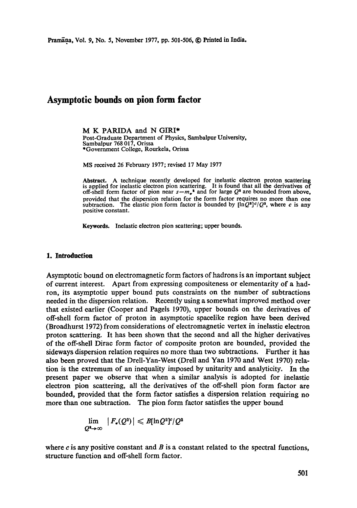# **Asymptotic bounds on pion form factor**

M K PARIDA and N GIRI\* Post-Graduate Department of Physics, Sambalpur University, Sambalpur 768 017, Orissa \*Government College, Rourkela, Orissa

MS received 26 February 1977; revised 17 May 1977

Abstract. A technique recently developed for inelastic electron proton scattering is applied for inelastic electron pion scattering. It is found that all the derivatives of off-shell form factor of pion near  $s = m_n^2$  and for large  $Q^2$  are bounded from above, provided that the dispersion relation for the form factor requires no more than one subtraction. The elastic pion form factor is bounded by  $[\ln Q^2]^{c}/Q^2$ , where c is any positive constant.

Keywords. Inelastic electron pion scattering; upper bounds.

#### 1. Introduction

Asymptotic bound on electromagnetic form factors of hadrons is an important subject of current interest. Apart from expressing compositeness or elementarity of a hadron, its asymptotic upper bound puts constraints on the number of subtractions needed in the dispersion relation. Recently using a somewhat improved method over that existed earlier (Cooper and Pagels 1970), upper bounds on the derivatives of off-shell form factor of proton in asymptotic spacelike region have been derived (Broadhurst 1972) from considerations of electromagnetic vertex in inelastic electron proton scattering. It has been shown that the second and all the higher derivatives of the off-shell Dirac form factor of composite proton are bounded, provided the sideways dispersion relation requires no more than two subtractions. Further it has also been proved that the Drell-Yan-West (Drell and Yan 1970 and West 1970) relation is the extremum of an inequality imposed by unitarity and analyticity. In the present paper we observe that when a similar analysis is adopted for inelastic electron pion scattering, all the derivatives of the off-shell pion form factor are bounded, provided that the form factor satisfies a dispersion relation requiring no more than one subtraction. The pion form factor satisfies the upper bound

$$
\lim_{Q^2\to\infty} |F_{\bullet}(Q^2)| \leqslant B[\ln Q^2]^c/Q^2
$$

where  $c$  is any positive constant and  $B$  is a constant related to the spectral functions, structure function and off-shell form factor.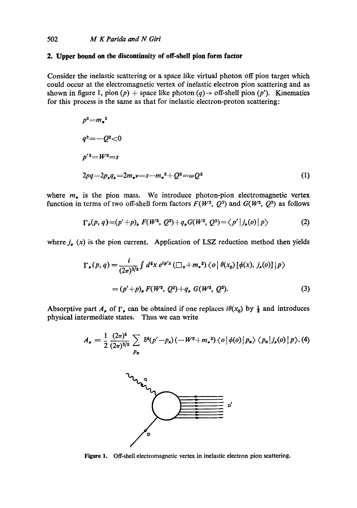## **2. Upper bound on the discontinuity of off-shell pion form factor**

Consider the inelastic scattering or a space like virtual photon off pion target which could occur at the electromagnetic vertex of inelastic electron pion scattering and as shown in figure 1, pion (p) + space like photon (q)  $\rightarrow$  off-shell pion (p'). Kinematics for this process is the same as that for inelastic electron-proton scattering:

$$
p^{2} = m_{\bullet}^{2}
$$
  
\n
$$
q^{2} = -Q^{2} < 0
$$
  
\n
$$
p'^{2} = W^{2} = s
$$
  
\n
$$
2pq = 2p_{\bullet}q_{\bullet} = 2m_{\bullet}v = s - m_{\bullet}^{2} + Q^{2} = \omega Q^{2}
$$
\n(1)

where  $m<sub>r</sub>$  is the pion mass. We introduce photon-pion electromagnetic vertex function in terms of two off-shell form factors  $F(W^2, Q^2)$  and  $G(W^2, Q^2)$  as follows

$$
\Gamma_{\mu}(p,q) = (p'+p)_{\mu} F(W^2, Q^2) + q_{\mu} G(W^2, Q^2) = \langle p' | j_{\mu}(o) | p \rangle \tag{2}
$$

where  $j_{\mu}$  (x) is the pion current. Application of LSZ reduction method then yields

$$
\Gamma_{\rho}(p,q) = \frac{i}{(2\pi)^{3/2}} \int d^4x \, e^{ip'x} \left( \square_x + m_x^2 \right) \langle o \, | \, \theta(x_0) \left[ \phi(x), \, j_{\rho}(o) \right] | p \rangle
$$
\n
$$
= (p' + p)_{\rho} F(W^2, Q^2) + q_{\rho} G(W^2, Q^2). \tag{3}
$$

Absorptive part  $A_{\rho}$  of  $\Gamma_{\rho}$  can be obtained if one replaces  $i\theta(x_0)$  by  $\frac{1}{2}$  and introduces physical intermediate states. Thus we can write

$$
A_{\rho} = \frac{1}{2} \frac{(2\pi)^4}{(2\pi)^{3/2}} \sum_{p_n} \delta^4(p'-p_n) \left(-W^2 + m_{\pi}^2\right) \langle o \, \big| \, \phi(o) \, \big| \, p_n \rangle \, \langle p_n \, \big| \, j_{\rho}(o) \, \big| \, p \rangle. \tag{4}
$$



Figure 1. Off-shell electromagnetic vertex in inelastic electron pion scattering.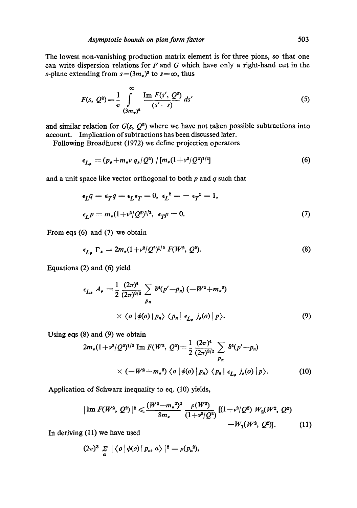The lowest non-vanishing production matrix element is for three pions, so that one can write dispersion relations for  $F$  and  $G$  which have only a right-hand cut in the s-plane extending from  $s=(3m<sub>1</sub>)^2$  to  $s=\infty$ , thus

$$
F(s, Q^2) = \frac{1}{\pi} \int_{(3m_{\pi})^2}^{\infty} \frac{\text{Im } F(s', Q^2)}{(s'-s)} ds'
$$
 (5)

and similar relation for  $G(s, Q^2)$  where we have not taken possible subtractions into account. Implication of subtractions has been discussed later.

Following Broadhurst (1972) we define projection operators

$$
\epsilon_{L_{\mathbf{F}}} = (p_{\mathbf{F}} + m_{\mathbf{F}} v \, q_{\mathbf{F}} / Q^2) / [m_{\mathbf{F}} (1 + v^2 / Q^2)^{1/2}] \tag{6}
$$

and a unit space like vector orthogonal to both  $p$  and  $q$  such that

$$
\epsilon_L q = \epsilon_T q = \epsilon_L \epsilon_T = 0, \ \epsilon_L^2 = -\epsilon_T^2 = 1,
$$
  

$$
\epsilon_L p = m_\pi (1 + v^2 / Q^2)^{1/2}, \ \epsilon_T p = 0.
$$
 (7)

From eqs (6) and (7) we obtain

$$
\epsilon_{L_{\bullet}} \Gamma_{\bullet} = 2m_{\bullet}(1 + v^2/Q^2)^{1/2} F(W^2, Q^2). \tag{8}
$$

Equations (2) and (6) yield

$$
\epsilon_{L_{\rho}} A_{\rho} = \frac{1}{2} \frac{(2\pi)^{4}}{(2\pi)^{3/2}} \sum_{p_{n}} \delta^{4}(p'-p_{n}) \left(-W^{2}+m_{\tau}^{2}\right)
$$
  
 
$$
\times \langle o \, | \, \phi(o) \, | \, p_{n} \rangle \langle p_{n} \, | \, \epsilon_{L_{\rho}} \, j_{\rho}(o) \, | \, p \rangle. \tag{9}
$$

Using eqs (8) and (9) we obtain

$$
2m_{\pi}(1+\nu^2/Q^2)^{1/2} \text{ Im } F(W^2, Q^2) = \frac{1}{2} \frac{(2\pi)^4}{(2\pi)^{3/2}} \sum_{p_n} \delta^4(p'-p_n)
$$
  
 
$$
\times (-W^2 + m_{\pi}^2) \langle o | \phi(o) | p_n \rangle \langle p_n | \epsilon_{L_{\mu}} j_{\mu}(o) | p \rangle. \tag{10}
$$

Application of Schwarz inequality to eq. (10) yields,

$$
|\operatorname{Im} F(W^2, Q^2)|^2 \leq \frac{(W^2 - m_{\tau}^2)^2}{8m_{\tau}} \frac{\rho(W^2)}{(1 + \nu^2/Q^2)} \frac{[(1 + \nu^2/Q^2) W_2(W^2, Q^2)]}{[W_1(W^2, Q^2)]}. \tag{11}
$$

In deriving (11) we have used

$$
(2\pi)^3 \sum_{a} |\langle o | \phi(o) | p_n, a \rangle |^2 = \rho(p_n^2),
$$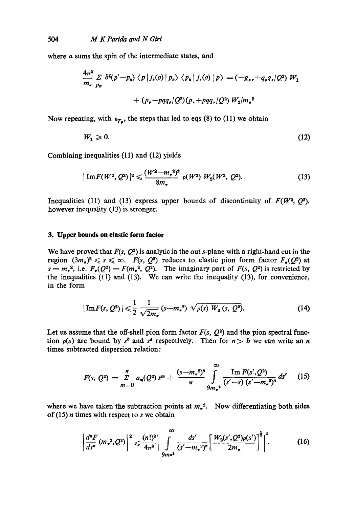where  $\alpha$  sums the spin of the intermediate states, and

$$
\frac{4\pi^2}{m_e} \sum_{p_n} \delta^4(p'-p_n) \langle p | j_r(o) | p_n \rangle \langle p_n | j_r(o) | p \rangle = (-g_r, +q_r q_r / Q^2) W_1
$$

$$
+ (p_r + pqq_r / Q^2)(p_r + pqq_r / Q^2) W_2 / m_e^2
$$

Now repeating, with  $\epsilon_{T_n}$ , the steps that led to eqs (8) to (11) we obtain

$$
W_1 \geqslant 0. \tag{12}
$$

Combining inequalities (11) and (12) yields

$$
|\operatorname{Im} F(W^2, Q^2)|^2 \leqslant \frac{(W^2 - m_e^2)^2}{8m_e} \rho(W^2) W_2(W^2, Q^2). \tag{13}
$$

Inequalities (11) and (13) express upper bounds of discontinuity of  $F(W^2, O^2)$ , however inequality (13) is stronger.

## **3. Upper bounds on elastic form factor**

We have proved that  $F(s, Q^2)$  is analytic in the out s-plane with a right-hand cut in the region  $(3m<sub>r</sub>)<sup>2</sup> \le s \le \infty$ .  $F(s, Q<sup>2</sup>)$  reduces to elastic pion form factor  $F<sub>r</sub>(Q<sup>2</sup>)$  at  $s = m<sub>s</sub><sup>2</sup>$ , i.e.  $F<sub>s</sub>(Q<sup>2</sup>) = F(m<sub>s</sub><sup>2</sup>, Q<sup>2</sup>)$ . The imaginary part of  $F(s, Q<sup>2</sup>)$  is restricted by the inequalities (11) and (13). We can write the inequality (13), for convenience, in the form

$$
|\operatorname{Im} F(s, Q^2)| \leq \frac{1}{2} \frac{1}{\sqrt{2m_\pi}} (s - m_\pi^2) \sqrt{\rho(s) W_2(s, Q^2)}.
$$
 (14)

Let us assume that the off-shell pion form factor  $F(s, Q^2)$  and the pion spectral function  $p(s)$  are bound by s<sup>b</sup> and s<sup>a</sup> respectively. Then for  $n > b$  we can write an n times subtracted dispersion relation:

$$
F(s, Q^2) = \sum_{m=0}^{n} a_m (Q^2) s^m + \frac{(s - m_*^2)^n}{\pi} \int_{9m_*^2}^{\infty} \frac{\operatorname{Im} F(s', Q^2)}{(s' - s) (s' - m_*^2)^n} ds' \qquad (15)
$$

where we have taken the subtraction points at  $m_e$ <sup>2</sup>. Now differentiating both sides of  $(15)$  *n* times with respect to *s* we obtain

$$
\left|\frac{d^{n} F}{ds^{n}}(m_{\star}^{2}, Q^{2})\right|^{2} \leqslant \frac{(n!)^{2}}{4\pi^{2}}\left|\int_{9m\pi^{2}}^{\infty} \frac{ds'}{(s'-m_{\star}^{2})^{n}}\left[\frac{W_{2}(s', Q^{2})\rho(s')}{2m_{\star}}\right]^{2}\right|^{2}.
$$
 (16)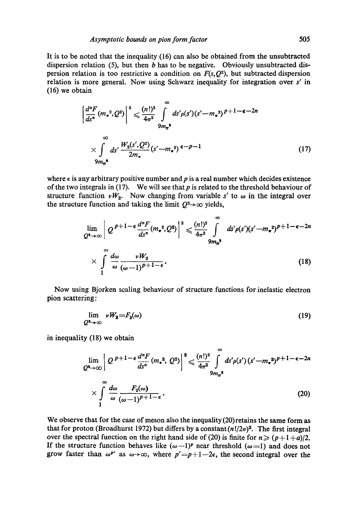It is to be noted that the inequality (16) can also be obtained from the unsubtraeted dispersion relation (5), but then  $b$  has to be negative. Obviously unsubtracted dispersion relation is too restrictive a condition on  $F(s, Q^2)$ , but subtracted dispersion relation is more general. Now using Schwarz inequality for integration over s' in (16) we obtain

$$
\left| \frac{d^n F}{ds^n} (m_*^2, Q^2) \right|^2 \leq \frac{(n!)^2}{4\pi^2} \int_{9m_{\pi}^*}^{\infty} ds' \rho(s') (s' - m_*^2)^{p+1-\epsilon-2n}
$$
  
 
$$
\times \int_{9m_{\pi}^*}^{\infty} ds' \frac{W_2(s', Q^2)}{2m_{\pi}} (s' - m_*^2)^{\epsilon-p-1}
$$
 (17)

where  $\epsilon$  is any arbitrary positive number and p is a real number which decides existence of the two integrals in (17). We will see that  $p$  is related to the threshold behaviour of structure function  $\nu W_2$ . Now changing from variable s' to  $\omega$  in the integral over the structure function and taking the limit  $Q^2 \rightarrow \infty$  yields,

$$
\lim_{Q^2 \to \infty} \left| Q^{p+1-\epsilon} \frac{d^n F}{ds^n} (m_*^2, Q^2) \right|^2 \leq \frac{(n!)^2}{4\pi^2} \int_{\mathfrak{M}_n^4}^{\infty} ds' \rho(s') (s'-m_*^2)^{p+1-\epsilon-2n}
$$
\n
$$
\times \int_{1}^{\infty} \frac{d\omega}{\omega} \frac{\nu W_2}{(\omega-1)^{p+1-\epsilon}}.
$$
\n(18)

Now using Bjorken scaling behaviour of structure functions for inelastic electron pion scattering:

$$
\lim_{Q^4 \to \infty} \nu W_2 = F_2(\omega) \tag{19}
$$

in inequality (18) we obtain

$$
\lim_{Q^* \to \infty} \left| Q^{p+1-\epsilon} \frac{d^n F}{ds^n} (m_*^2, Q^2) \right|^2 \leq \frac{(n!)^2}{4\pi^2} \int_{9m_*^*}^{\infty} ds' \rho(s') (s'-m_*^2)^{p+1-\epsilon-2n}
$$
\n
$$
\times \int_{1}^{\infty} \frac{d\omega}{\omega} \frac{F_2(\omega)}{(\omega-1)^{p+1-\epsilon}}.
$$
\n(20)

We observe that for the case of meson also the inequality (20) retains the same form as that for proton (Broadhurst 1972) but differs by a constant  $(n!/2\pi)^2$ . The first integral over the spectral function on the right hand side of (20) is finite for  $n \ge (p+1+a)/2$ . If the structure function behaves like  $(\omega-1)^p$  near threshold  $(\omega=1)$  and does not grow faster than  $\omega^{p'}$  as  $\omega \rightarrow \infty$ , where  $p' = p+1-2\epsilon$ , the second integral over the